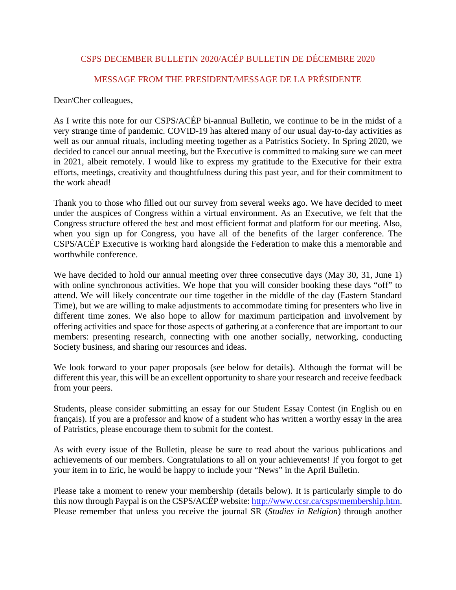## CSPS DECEMBER BULLETIN 2020/ACÉP BULLETIN DE DÉCEMBRE 2020

## MESSAGE FROM THE PRESIDENT/MESSAGE DE LA PRÉSIDENTE

Dear/Cher colleagues,

As I write this note for our CSPS/ACÉP bi-annual Bulletin, we continue to be in the midst of a very strange time of pandemic. COVID-19 has altered many of our usual day-to-day activities as well as our annual rituals, including meeting together as a Patristics Society. In Spring 2020, we decided to cancel our annual meeting, but the Executive is committed to making sure we can meet in 2021, albeit remotely. I would like to express my gratitude to the Executive for their extra efforts, meetings, creativity and thoughtfulness during this past year, and for their commitment to the work ahead!

Thank you to those who filled out our survey from several weeks ago. We have decided to meet under the auspices of Congress within a virtual environment. As an Executive, we felt that the Congress structure offered the best and most efficient format and platform for our meeting. Also, when you sign up for Congress, you have all of the benefits of the larger conference. The CSPS/ACÉP Executive is working hard alongside the Federation to make this a memorable and worthwhile conference.

We have decided to hold our annual meeting over three consecutive days (May 30, 31, June 1) with online synchronous activities. We hope that you will consider booking these days "off" to attend. We will likely concentrate our time together in the middle of the day (Eastern Standard Time), but we are willing to make adjustments to accommodate timing for presenters who live in different time zones. We also hope to allow for maximum participation and involvement by offering activities and space for those aspects of gathering at a conference that are important to our members: presenting research, connecting with one another socially, networking, conducting Society business, and sharing our resources and ideas.

We look forward to your paper proposals (see below for details). Although the format will be different this year, this will be an excellent opportunity to share your research and receive feedback from your peers.

Students, please consider submitting an essay for our Student Essay Contest (in English ou en français). If you are a professor and know of a student who has written a worthy essay in the area of Patristics, please encourage them to submit for the contest.

As with every issue of the Bulletin, please be sure to read about the various publications and achievements of our members. Congratulations to all on your achievements! If you forgot to get your item in to Eric, he would be happy to include your "News" in the April Bulletin.

Please take a moment to renew your membership (details below). It is particularly simple to do this now through Paypal is on the CSPS/ACÉP website: [http://www.ccsr.ca/csps/membership.htm.](http://www.ccsr.ca/csps/membership.htm) Please remember that unless you receive the journal SR (*Studies in Religion*) through another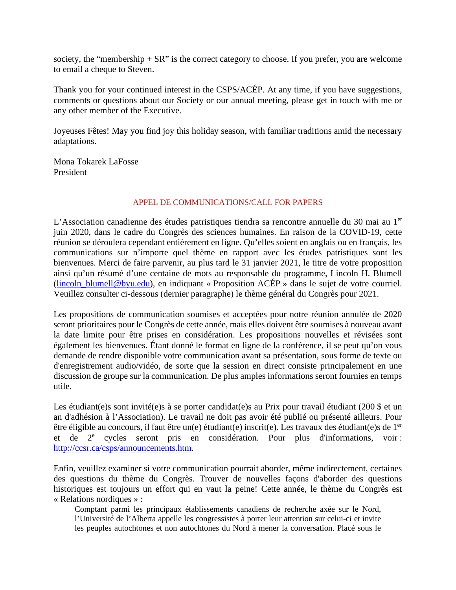society, the "membership  $+ SR$ " is the correct category to choose. If you prefer, you are welcome to email a cheque to Steven.

Thank you for your continued interest in the CSPS/ACÉP. At any time, if you have suggestions, comments or questions about our Society or our annual meeting, please get in touch with me or any other member of the Executive.

Joyeuses Fêtes! May you find joy this holiday season, with familiar traditions amid the necessary adaptations.

Mona Tokarek LaFosse President

#### APPEL DE COMMUNICATIONS/CALL FOR PAPERS

L'Association canadienne des études patristiques tiendra sa rencontre annuelle du 30 mai au 1<sup>er</sup> juin 2020, dans le cadre du Congrès des sciences humaines. En raison de la COVID-19, cette réunion se déroulera cependant entièrement en ligne. Qu'elles soient en anglais ou en français, les communications sur n'importe quel thème en rapport avec les études patristiques sont les bienvenues. Merci de faire parvenir, au plus tard le 31 janvier 2021, le titre de votre proposition ainsi qu'un résumé d'une centaine de mots au responsable du programme, Lincoln H. Blumell [\(lincoln\\_blumell@byu.edu\)](mailto:lincoln_blumell@byu.edu), en indiquant « Proposition ACÉP » dans le sujet de votre courriel. Veuillez consulter ci-dessous (dernier paragraphe) le thème général du Congrès pour 2021.

Les propositions de communication soumises et acceptées pour notre réunion annulée de 2020 seront prioritaires pour le Congrès de cette année, mais elles doivent être soumises à nouveau avant la date limite pour être prises en considération. Les propositions nouvelles et révisées sont également les bienvenues. Étant donné le format en ligne de la conférence, il se peut qu'on vous demande de rendre disponible votre communication avant sa présentation, sous forme de texte ou d'enregistrement audio/vidéo, de sorte que la session en direct consiste principalement en une discussion de groupe sur la communication. De plus amples informations seront fournies en temps utile.

Les étudiant(e)s sont invité(e)s à se porter candidat(e)s au Prix pour travail étudiant (200 \$ et un an d'adhésion à l'Association). Le travail ne doit pas avoir été publié ou présenté ailleurs. Pour être éligible au concours, il faut être un(e) étudiant(e) inscrit(e). Les travaux des étudiant(e)s de 1<sup>er</sup> et de 2<sup>e</sup> cycles seront pris en considération. Pour plus d'informations, voir : [http://ccsr.ca/csps/announcements.htm.](http://ccsr.ca/csps/announcements.htm)

Enfin, veuillez examiner si votre communication pourrait aborder, même indirectement, certaines des questions du thème du Congrès. Trouver de nouvelles façons d'aborder des questions historiques est toujours un effort qui en vaut la peine! Cette année, le thème du Congrès est « Relations nordiques » :

Comptant parmi les principaux établissements canadiens de recherche axée sur le Nord, l'Université de l'Alberta appelle les congressistes à porter leur attention sur celui-ci et invite les peuples autochtones et non autochtones du Nord à mener la conversation. Placé sous le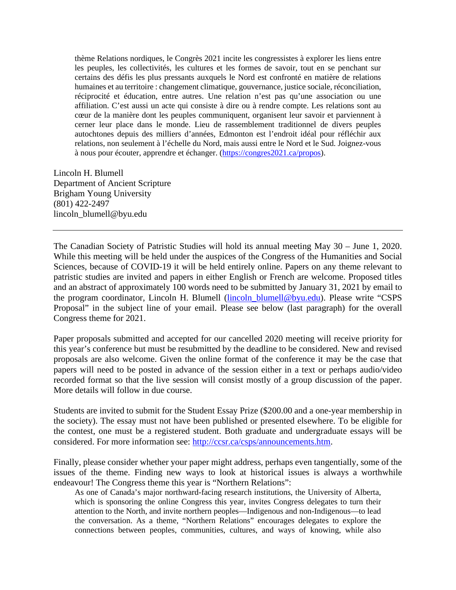thème Relations nordiques, le Congrès 2021 incite les congressistes à explorer les liens entre les peuples, les collectivités, les cultures et les formes de savoir, tout en se penchant sur certains des défis les plus pressants auxquels le Nord est confronté en matière de relations humaines et au territoire : changement climatique, gouvernance, justice sociale, réconciliation, réciprocité et éducation, entre autres. Une relation n'est pas qu'une association ou une affiliation. C'est aussi un acte qui consiste à dire ou à rendre compte. Les relations sont au cœur de la manière dont les peuples communiquent, organisent leur savoir et parviennent à cerner leur place dans le monde. Lieu de rassemblement traditionnel de divers peuples autochtones depuis des milliers d'années, Edmonton est l'endroit idéal pour réfléchir aux relations, non seulement à l'échelle du Nord, mais aussi entre le Nord et le Sud. Joignez-vous à nous pour écouter, apprendre et échanger. [\(https://congres2021.ca/propos\)](https://congres2021.ca/propos).

Lincoln H. Blumell Department of Ancient Scripture Brigham Young University (801) 422-2497 lincoln\_blumell@byu.edu

The Canadian Society of Patristic Studies will hold its annual meeting May 30 – June 1, 2020. While this meeting will be held under the auspices of the Congress of the Humanities and Social Sciences, because of COVID-19 it will be held entirely online. Papers on any theme relevant to patristic studies are invited and papers in either English or French are welcome. Proposed titles and an abstract of approximately 100 words need to be submitted by January 31, 2021 by email to the program coordinator, Lincoln H. Blumell [\(lincoln\\_blumell@byu.edu\)](mailto:lincoln_blumell@byu.edu). Please write "CSPS Proposal" in the subject line of your email. Please see below (last paragraph) for the overall Congress theme for 2021.

Paper proposals submitted and accepted for our cancelled 2020 meeting will receive priority for this year's conference but must be resubmitted by the deadline to be considered. New and revised proposals are also welcome. Given the online format of the conference it may be the case that papers will need to be posted in advance of the session either in a text or perhaps audio/video recorded format so that the live session will consist mostly of a group discussion of the paper. More details will follow in due course.

Students are invited to submit for the Student Essay Prize (\$200.00 and a one-year membership in the society). The essay must not have been published or presented elsewhere. To be eligible for the contest, one must be a registered student. Both graduate and undergraduate essays will be considered. For more information see: [http://ccsr.ca/csps/announcements.htm.](http://ccsr.ca/csps/announcements.htm)

Finally, please consider whether your paper might address, perhaps even tangentially, some of the issues of the theme. Finding new ways to look at historical issues is always a worthwhile endeavour! The Congress theme this year is "Northern Relations":

As one of Canada's major northward-facing research institutions, the University of Alberta, which is sponsoring the online Congress this year, invites Congress delegates to turn their attention to the North, and invite northern peoples—Indigenous and non-Indigenous—to lead the conversation. As a theme, "Northern Relations" encourages delegates to explore the connections between peoples, communities, cultures, and ways of knowing, while also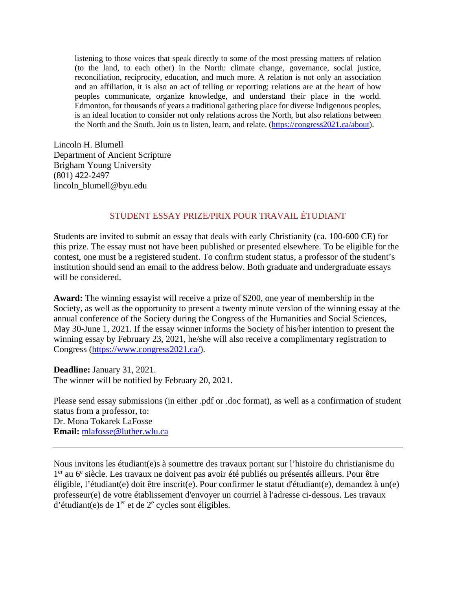listening to those voices that speak directly to some of the most pressing matters of relation (to the land, to each other) in the North: climate change, governance, social justice, reconciliation, reciprocity, education, and much more. A relation is not only an association and an affiliation, it is also an act of telling or reporting; relations are at the heart of how peoples communicate, organize knowledge, and understand their place in the world. Edmonton, for thousands of years a traditional gathering place for diverse Indigenous peoples, is an ideal location to consider not only relations across the North, but also relations between the North and the South. Join us to listen, learn, and relate. [\(https://congress2021.ca/about\)](https://congress2021.ca/about).

Lincoln H. Blumell Department of Ancient Scripture Brigham Young University (801) 422-2497 lincoln\_blumell@byu.edu

#### STUDENT ESSAY PRIZE/PRIX POUR TRAVAIL ÉTUDIANT

Students are invited to submit an essay that deals with early Christianity (ca. 100-600 CE) for this prize. The essay must not have been published or presented elsewhere. To be eligible for the contest, one must be a registered student. To confirm student status, a professor of the student's institution should send an email to the address below. Both graduate and undergraduate essays will be considered.

**Award:** The winning essayist will receive a prize of \$200, one year of membership in the Society, as well as the opportunity to present a twenty minute version of the winning essay at the annual conference of the Society during the Congress of the Humanities and Social Sciences, May 30-June 1, 2021. If the essay winner informs the Society of his/her intention to present the winning essay by February 23, 2021, he/she will also receive a complimentary registration to Congress [\(https://www.congress2021.ca/\)](https://www.congress2021.ca/).

**Deadline:** January 31, 2021. The winner will be notified by February 20, 2021.

Please send essay submissions (in either .pdf or .doc format), as well as a confirmation of student status from a professor, to: Dr. Mona Tokarek LaFosse **Email:** [mlafosse@luther.wlu.ca](mailto:mlafosse@luther.wlu.ca)

Nous invitons les étudiant(e)s à soumettre des travaux portant sur l'histoire du christianisme du 1<sup>er</sup> au 6<sup>e</sup> siècle. Les travaux ne doivent pas avoir été publiés ou présentés ailleurs. Pour être éligible, l'étudiant(e) doit être inscrit(e). Pour confirmer le statut d'étudiant(e), demandez à un(e) professeur(e) de votre établissement d'envoyer un courriel à l'adresse ci-dessous. Les travaux d'étudiant(e)s de  $1<sup>er</sup>$  et de  $2<sup>e</sup>$  cycles sont éligibles.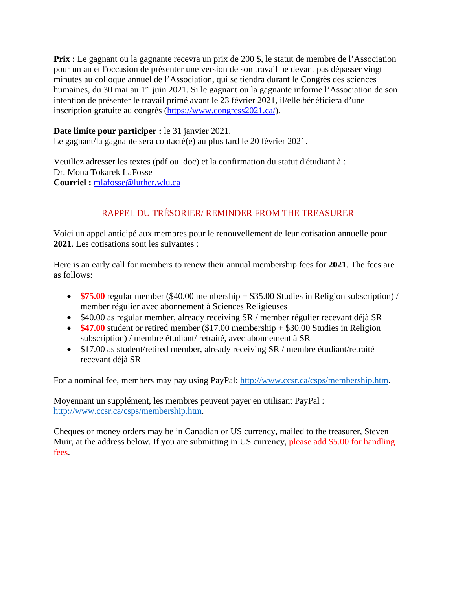**Prix** : Le gagnant ou la gagnante recevra un prix de 200 \$, le statut de membre de l'Association pour un an et l'occasion de présenter une version de son travail ne devant pas dépasser vingt minutes au colloque annuel de l'Association, qui se tiendra durant le Congrès des sciences humaines, du 30 mai au 1<sup>er</sup> juin 2021. Si le gagnant ou la gagnante informe l'Association de son intention de présenter le travail primé avant le 23 février 2021, il/elle bénéficiera d'une inscription gratuite au congrès [\(https://www.congress2021.ca/\)](https://www.congress2021.ca/).

## **Date limite pour participer :** le 31 janvier 2021. Le gagnant/la gagnante sera contacté(e) au plus tard le 20 février 2021.

Veuillez adresser les textes (pdf ou .doc) et la confirmation du statut d'étudiant à : Dr. Mona Tokarek LaFosse **Courriel :** [mlafosse@luther.wlu.ca](mailto:mlafosse@luther.wlu.ca)

# RAPPEL DU TRÉSORIER/ REMINDER FROM THE TREASURER

Voici un appel anticipé aux membres pour le renouvellement de leur cotisation annuelle pour **2021**. Les cotisations sont les suivantes :

Here is an early call for members to renew their annual membership fees for **2021**. The fees are as follows:

- **\$75.00** regular member (\$40.00 membership + \$35.00 Studies in Religion subscription) / member régulier avec abonnement à Sciences Religieuses
- \$40.00 as regular member, already receiving SR / member régulier recevant déjà SR
- **\$47.00** student or retired member (\$17.00 membership + \$30.00 Studies in Religion subscription) / membre étudiant/ retraité, avec abonnement à SR
- \$17.00 as student/retired member, already receiving SR / membre étudiant/retraité recevant déjà SR

For a nominal fee, members may pay using PayPal: [http://www.ccsr.ca/csps/membership.htm.](http://www.ccsr.ca/csps/membership.htm)

Moyennant un supplément, les membres peuvent payer en utilisant PayPal : [http://www.ccsr.ca/csps/membership.htm.](http://www.ccsr.ca/csps/membership.htm)

Cheques or money orders may be in Canadian or US currency, mailed to the treasurer, Steven Muir, at the address below. If you are submitting in US currency, please add \$5.00 for handling fees.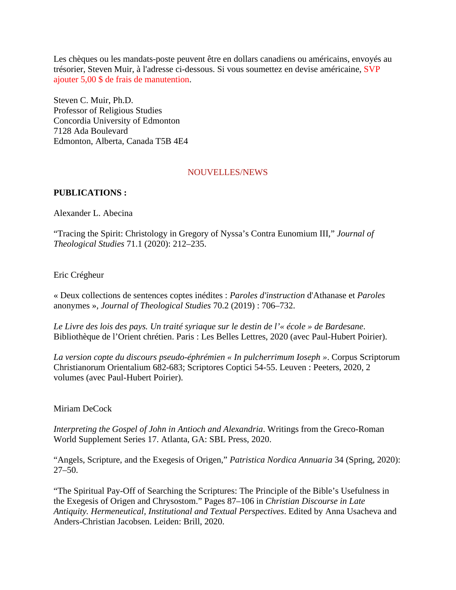Les chèques ou les mandats-poste peuvent être en dollars canadiens ou américains, envoyés au trésorier, Steven Muir, à l'adresse ci-dessous. Si vous soumettez en devise américaine, SVP ajouter 5,00 \$ de frais de manutention.

Steven C. Muir, Ph.D. Professor of Religious Studies Concordia University of Edmonton 7128 Ada Boulevard Edmonton, Alberta, Canada T5B 4E4

## NOUVELLES/NEWS

## **PUBLICATIONS :**

Alexander L. Abecina

"Tracing the Spirit: Christology in Gregory of Nyssa's Contra Eunomium III," *Journal of Theological Studies* 71.1 (2020): 212–235.

#### Eric Crégheur

« Deux collections de sentences coptes inédites : *Paroles d'instruction* d'Athanase et *Paroles* anonymes », *Journal of Theological Studies* 70.2 (2019) : 706–732.

*Le Livre des lois des pays. Un traité syriaque sur le destin de l'« école » de Bardesane*. Bibliothèque de l'Orient chrétien. Paris : Les Belles Lettres, 2020 (avec Paul-Hubert Poirier).

*La version copte du discours pseudo-éphrémien « In pulcherrimum Ioseph »*. Corpus Scriptorum Christianorum Orientalium 682-683; Scriptores Coptici 54-55. Leuven : Peeters, 2020, 2 volumes (avec Paul-Hubert Poirier).

#### Miriam DeCock

*Interpreting the Gospel of John in Antioch and Alexandria*. Writings from the Greco-Roman World Supplement Series 17. Atlanta, GA: SBL Press, 2020.

"Angels, Scripture, and the Exegesis of Origen," *Patristica Nordica Annuaria* 34 (Spring, 2020): 27–50.

"The Spiritual Pay-Off of Searching the Scriptures: The Principle of the Bible's Usefulness in the Exegesis of Origen and Chrysostom." Pages 87–106 in *Christian Discourse in Late Antiquity. Hermeneutical, Institutional and Textual Perspectives*. Edited by Anna Usacheva and Anders-Christian Jacobsen. Leiden: Brill, 2020.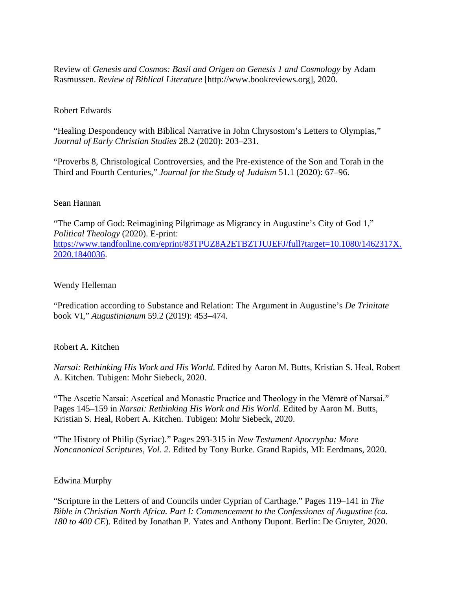Review of *Genesis and Cosmos: Basil and Origen on Genesis 1 and Cosmology* by Adam Rasmussen. *Review of Biblical Literature* [http://www.bookreviews.org], 2020.

## Robert Edwards

"Healing Despondency with Biblical Narrative in John Chrysostom's Letters to Olympias," *Journal of Early Christian Studies* 28.2 (2020): 203–231.

"Proverbs 8, Christological Controversies, and the Pre-existence of the Son and Torah in the Third and Fourth Centuries," *Journal for the Study of Judaism* 51.1 (2020): 67–96.

#### Sean Hannan

"The Camp of God: Reimagining Pilgrimage as Migrancy in Augustine's City of God 1," *Political Theology* (2020). E-print: [https://www.tandfonline.com/eprint/83TPUZ8A2ETBZTJUJEFJ/full?target=10.1080/1462317X.](https://www.tandfonline.com/eprint/83TPUZ8A2ETBZTJUJEFJ/full?target=10.1080/1462317X.2020.1840036) [2020.1840036.](https://www.tandfonline.com/eprint/83TPUZ8A2ETBZTJUJEFJ/full?target=10.1080/1462317X.2020.1840036)

## Wendy Helleman

"Predication according to Substance and Relation: The Argument in Augustine's *De Trinitate* book VI," *Augustinianum* 59.2 (2019): 453–474.

## Robert A. Kitchen

*Narsai: Rethinking His Work and His World*. Edited by Aaron M. Butts, Kristian S. Heal, Robert A. Kitchen. Tubigen: Mohr Siebeck, 2020.

"The Ascetic Narsai: Ascetical and Monastic Practice and Theology in the Mēmrē of Narsai." Pages 145–159 in *Narsai: Rethinking His Work and His World*. Edited by Aaron M. Butts, Kristian S. Heal, Robert A. Kitchen. Tubigen: Mohr Siebeck, 2020.

"The History of Philip (Syriac)." Pages 293-315 in *New Testament Apocrypha: More Noncanonical Scriptures, Vol. 2*. Edited by Tony Burke. Grand Rapids, MI: Eerdmans, 2020.

## Edwina Murphy

"Scripture in the Letters of and Councils under Cyprian of Carthage." Pages 119–141 in *The Bible in Christian North Africa. Part I: Commencement to the Confessiones of Augustine (ca. 180 to 400 CE*). Edited by Jonathan P. Yates and Anthony Dupont. Berlin: De Gruyter, 2020.